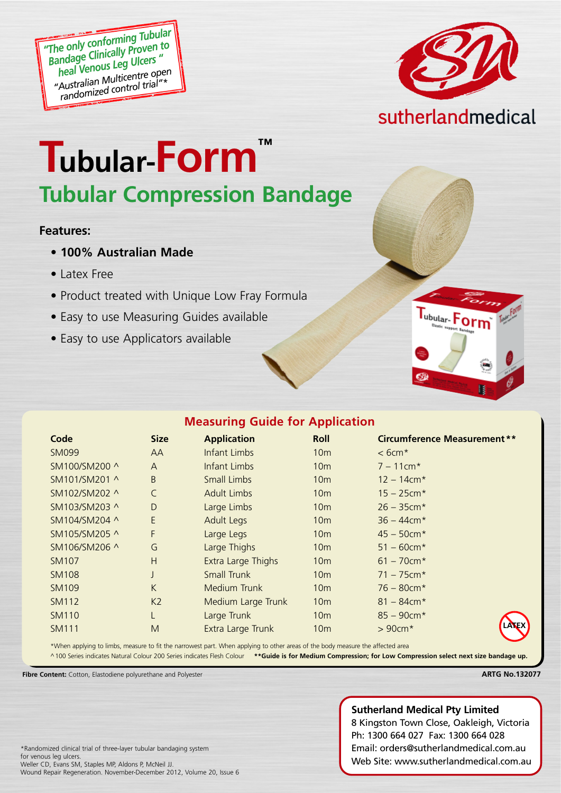*"The only conforming Tubular Bandage Clinically Proven to heal Venous Leg Ulcers " "Australian Multicentre open randomized control trial"\**



# **Tubular-Form™ Tubular Compression Bandage**

#### **Features:**

- **100% Australian Made**
- Latex Free
- Product treated with Unique Low Fray Formula
- Easy to use Measuring Guides available
- Easy to use Applicators available



|  |  |  | <b>Measuring Guide for Application</b> |  |
|--|--|--|----------------------------------------|--|
|--|--|--|----------------------------------------|--|

| Code          | <b>Size</b>    | <b>Application</b> | Roll            | Circumference Measurement **          |
|---------------|----------------|--------------------|-----------------|---------------------------------------|
| <b>SM099</b>  | AA             | Infant Limbs       | 10 <sub>m</sub> | $<$ 6cm <sup><math>\star</math></sup> |
| SM100/SM200 ^ | A              | Infant Limbs       | 10 <sub>m</sub> | $7 - 11$ cm*                          |
| SM101/SM201 ^ | B              | <b>Small Limbs</b> | 10 <sub>m</sub> | $12 - 14$ cm*                         |
| SM102/SM202 ^ | $\mathsf{C}$   | <b>Adult Limbs</b> | 10 <sub>m</sub> | $15 - 25$ cm*                         |
| SM103/SM203 ^ | D              | Large Limbs        | 10 <sub>m</sub> | $26 - 35$ cm*                         |
| SM104/SM204 ^ | E              | <b>Adult Legs</b>  | 10 <sub>m</sub> | $36 - 44$ cm*                         |
| SM105/SM205 ^ | F              | Large Legs         | 10 <sub>m</sub> | $45 - 50$ cm*                         |
| SM106/SM206 ^ | G              | Large Thighs       | 10 <sub>m</sub> | $51 - 60$ cm*                         |
| SM107         | H              | Extra Large Thighs | 10 <sub>m</sub> | $61 - 70$ cm*                         |
| <b>SM108</b>  | J              | <b>Small Trunk</b> | 10 <sub>m</sub> | $71 - 75$ cm*                         |
| <b>SM109</b>  | K              | Medium Trunk       | 10 <sub>m</sub> | $76 - 80$ cm $*$                      |
| <b>SM112</b>  | K <sub>2</sub> | Medium Large Trunk | 10 <sub>m</sub> | $81 - 84$ cm*                         |
| <b>SM110</b>  | L              | Large Trunk        | 10 <sub>m</sub> | $85 - 90$ cm*                         |
| <b>SM111</b>  | M              | Extra Large Trunk  | 10 <sub>m</sub> | LALEX<br>$>90cm*$                     |
|               |                |                    |                 |                                       |

\*When applying to limbs, measure to fit the narrowest part. When applying to other areas of the body measure the affected area

^100 Series indicates Natural Colour 200 Series indicates Flesh Colour **\*\*Guide is for Medium Compression; for Low Compression select next size bandage up.**

**Fibre Content:** Cotton, Elastodiene polyurethane and Polyester

#### **ARTG No.132077**

#### **Sutherland Medical Pty Limited**

8 Kingston Town Close, Oakleigh, Victoria Ph: 1300 664 027 Fax: 1300 664 028 Email: orders@sutherlandmedical.com.au Web Site: www.sutherlandmedical.com.au

\*Randomized clinical trial of three-layer tubular bandaging system for venous leg ulcers. Weller CD, Evans SM, Staples MP, Aldons P, McNeil JJ. Wound Repair Regeneration. November-December 2012, Volume 20, Issue 6